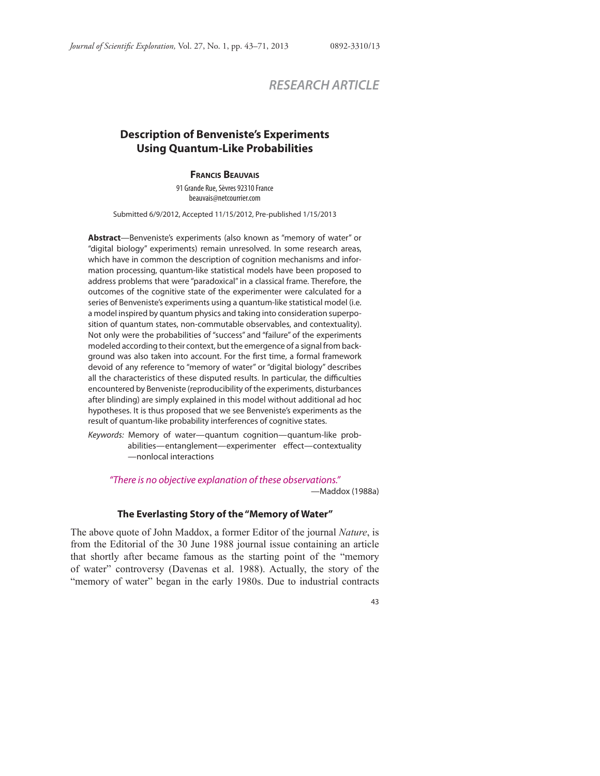# *RESEARCH ARTICLE*

## **Description of Benveniste's Experiments Using Quantum-Like Probabilities**

#### **FRANCIS BEAUVAIS**

91 Grande Rue, Sèvres 92310 France beauvais@netcourrier.com

Submitted 6/9/2012, Accepted 11/15/2012, Pre-published 1/15/2013

**Abstract**—Benveniste's experiments (also known as "memory of water" or "digital biology" experiments) remain unresolved. In some research areas, which have in common the description of cognition mechanisms and information processing, quantum-like statistical models have been proposed to address problems that were "paradoxical" in a classical frame. Therefore, the outcomes of the cognitive state of the experimenter were calculated for a series of Benveniste's experiments using a quantum-like statistical model (i.e. a model inspired by quantum physics and taking into consideration superposition of quantum states, non-commutable observables, and contextuality). Not only were the probabilities of "success" and "failure" of the experiments modeled according to their context, but the emergence of a signal from background was also taken into account. For the first time, a formal framework devoid of any reference to "memory of water" or "digital biology" describes all the characteristics of these disputed results. In particular, the difficulties encountered by Benveniste (reproducibility of the experiments, disturbances after blinding) are simply explained in this model without additional ad hoc hypotheses. It is thus proposed that we see Benveniste's experiments as the result of quantum-like probability interferences of cognitive states.

Keywords: Memory of water—quantum cognition—quantum-like probabilities—entanglement—experimenter effect—contextuality —nonlocal interactions

"There is no objective explanation of these observations."

—Maddox (1988a)

#### **The Everlasting Story of the "Memory of Water"**

The above quote of John Maddox, a former Editor of the journal *Nature*, is from the Editorial of the 30 June 1988 journal issue containing an article that shortly after became famous as the starting point of the "memory of water" controversy (Davenas et al. 1988). Actually, the story of the "memory of water" began in the early 1980s. Due to industrial contracts

43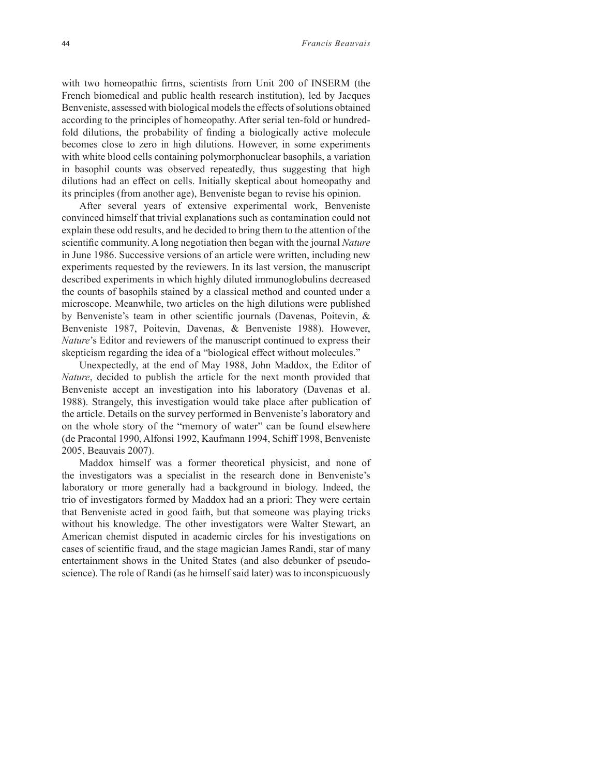with two homeopathic firms, scientists from Unit 200 of INSERM (the French biomedical and public health research institution), led by Jacques Benveniste, assessed with biological models the effects of solutions obtained according to the principles of homeopathy. After serial ten-fold or hundredfold dilutions, the probability of finding a biologically active molecule becomes close to zero in high dilutions. However, in some experiments with white blood cells containing polymorphonuclear basophils, a variation in basophil counts was observed repeatedly, thus suggesting that high dilutions had an effect on cells. Initially skeptical about homeopathy and its principles (from another age), Benveniste began to revise his opinion.

After several years of extensive experimental work, Benveniste convinced himself that trivial explanations such as contamination could not explain these odd results, and he decided to bring them to the attention of the scientific community. A long negotiation then began with the journal *Nature* in June 1986. Successive versions of an article were written, including new experiments requested by the reviewers. In its last version, the manuscript described experiments in which highly diluted immunoglobulins decreased the counts of basophils stained by a classical method and counted under a microscope. Meanwhile, two articles on the high dilutions were published by Benveniste's team in other scientific journals (Davenas, Poitevin,  $\&$ Benveniste 1987, Poitevin, Davenas, & Benveniste 1988). However, *Nature*'s Editor and reviewers of the manuscript continued to express their skepticism regarding the idea of a "biological effect without molecules."

Unexpectedly, at the end of May 1988, John Maddox, the Editor of *Nature*, decided to publish the article for the next month provided that Benveniste accept an investigation into his laboratory (Davenas et al. 1988). Strangely, this investigation would take place after publication of the article. Details on the survey performed in Benveniste's laboratory and on the whole story of the "memory of water" can be found elsewhere (de Pracontal 1990, Alfonsi 1992, Kaufmann 1994, Schiff 1998, Benveniste 2005, Beauvais 2007).

Maddox himself was a former theoretical physicist, and none of the investigators was a specialist in the research done in Benveniste's laboratory or more generally had a background in biology. Indeed, the trio of investigators formed by Maddox had an a priori: They were certain that Benveniste acted in good faith, but that someone was playing tricks without his knowledge. The other investigators were Walter Stewart, an American chemist disputed in academic circles for his investigations on cases of scientific fraud, and the stage magician James Randi, star of many entertainment shows in the United States (and also debunker of pseudoscience). The role of Randi (as he himself said later) was to inconspicuously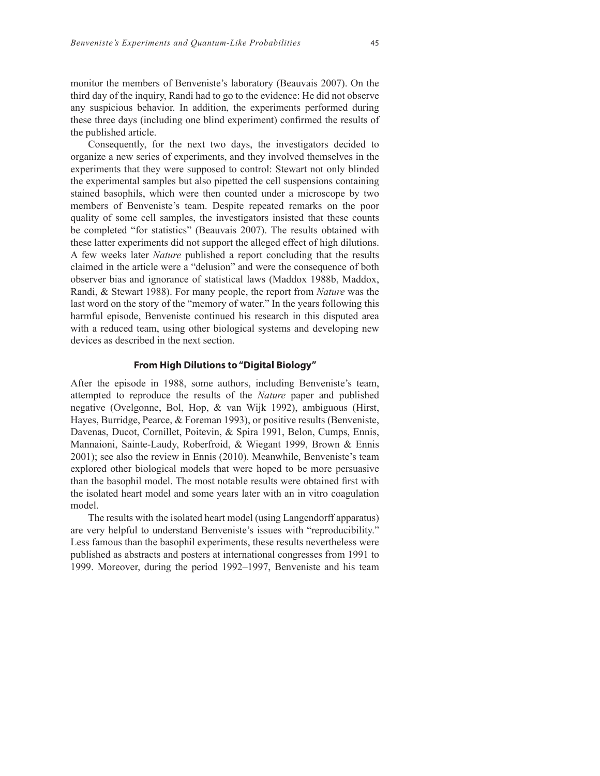monitor the members of Benveniste's laboratory (Beauvais 2007). On the third day of the inquiry, Randi had to go to the evidence: He did not observe any suspicious behavior. In addition, the experiments performed during these three days (including one blind experiment) confirmed the results of the published article.

Consequently, for the next two days, the investigators decided to organize a new series of experiments, and they involved themselves in the experiments that they were supposed to control: Stewart not only blinded the experimental samples but also pipetted the cell suspensions containing stained basophils, which were then counted under a microscope by two members of Benveniste's team. Despite repeated remarks on the poor quality of some cell samples, the investigators insisted that these counts be completed "for statistics" (Beauvais 2007). The results obtained with these latter experiments did not support the alleged effect of high dilutions. A few weeks later *Nature* published a report concluding that the results claimed in the article were a "delusion" and were the consequence of both observer bias and ignorance of statistical laws (Maddox 1988b, Maddox, Randi, & Stewart 1988). For many people, the report from *Nature* was the last word on the story of the "memory of water." In the years following this harmful episode, Benveniste continued his research in this disputed area with a reduced team, using other biological systems and developing new devices as described in the next section.

## **From High Dilutions to "Digital Biology"**

After the episode in 1988, some authors, including Benveniste's team, attempted to reproduce the results of the *Nature* paper and published negative (Ovelgonne, Bol, Hop, & van Wijk 1992), ambiguous (Hirst, Hayes, Burridge, Pearce, & Foreman 1993), or positive results (Benveniste, Davenas, Ducot, Cornillet, Poitevin, & Spira 1991, Belon, Cumps, Ennis, Mannaioni, Sainte-Laudy, Roberfroid, & Wiegant 1999, Brown & Ennis 2001); see also the review in Ennis (2010). Meanwhile, Benveniste's team explored other biological models that were hoped to be more persuasive than the basophil model. The most notable results were obtained first with the isolated heart model and some years later with an in vitro coagulation model.

The results with the isolated heart model (using Langendorff apparatus) are very helpful to understand Benveniste's issues with "reproducibility." Less famous than the basophil experiments, these results nevertheless were published as abstracts and posters at international congresses from 1991 to 1999. Moreover, during the period 1992–1997, Benveniste and his team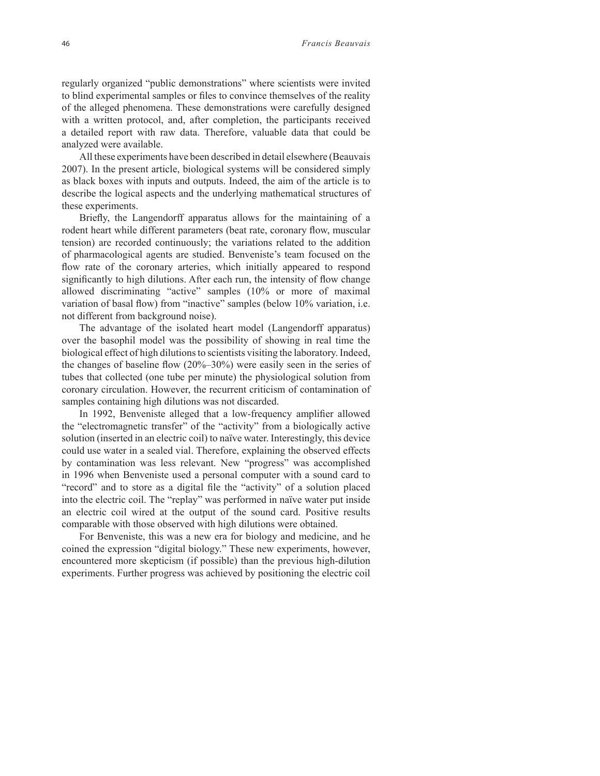regularly organized "public demonstrations" where scientists were invited to blind experimental samples or files to convince themselves of the reality of the alleged phenomena. These demonstrations were carefully designed with a written protocol, and, after completion, the participants received a detailed report with raw data. Therefore, valuable data that could be analyzed were available.

All these experiments have been described in detail elsewhere (Beauvais 2007). In the present article, biological systems will be considered simply as black boxes with inputs and outputs. Indeed, the aim of the article is to describe the logical aspects and the underlying mathematical structures of these experiments.

Briefly, the Langendorff apparatus allows for the maintaining of a rodent heart while different parameters (beat rate, coronary flow, muscular tension) are recorded continuously; the variations related to the addition of pharmacological agents are studied. Benveniste's team focused on the flow rate of the coronary arteries, which initially appeared to respond significantly to high dilutions. After each run, the intensity of flow change allowed discriminating "active" samples (10% or more of maximal variation of basal flow) from "inactive" samples (below 10% variation, i.e. not different from background noise).

The advantage of the isolated heart model (Langendorff apparatus) over the basophil model was the possibility of showing in real time the biological effect of high dilutions to scientists visiting the laboratory. Indeed, the changes of baseline flow  $(20\%-30\%)$  were easily seen in the series of tubes that collected (one tube per minute) the physiological solution from coronary circulation. However, the recurrent criticism of contamination of samples containing high dilutions was not discarded.

In 1992, Benveniste alleged that a low-frequency amplifier allowed the "electromagnetic transfer" of the "activity" from a biologically active solution (inserted in an electric coil) to naïve water. Interestingly, this device could use water in a sealed vial. Therefore, explaining the observed effects by contamination was less relevant. New "progress" was accomplished in 1996 when Benveniste used a personal computer with a sound card to "record" and to store as a digital file the "activity" of a solution placed into the electric coil. The "replay" was performed in naïve water put inside an electric coil wired at the output of the sound card. Positive results comparable with those observed with high dilutions were obtained.

For Benveniste, this was a new era for biology and medicine, and he coined the expression "digital biology." These new experiments, however, encountered more skepticism (if possible) than the previous high-dilution experiments. Further progress was achieved by positioning the electric coil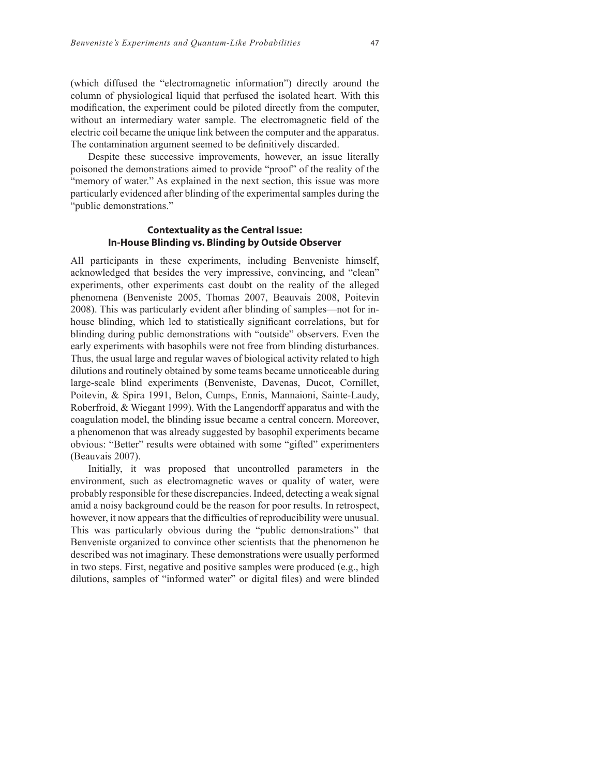(which diffused the "electromagnetic information") directly around the column of physiological liquid that perfused the isolated heart. With this modification, the experiment could be piloted directly from the computer, without an intermediary water sample. The electromagnetic field of the electric coil became the unique link between the computer and the apparatus. The contamination argument seemed to be definitively discarded.

Despite these successive improvements, however, an issue literally poisoned the demonstrations aimed to provide "proof" of the reality of the "memory of water." As explained in the next section, this issue was more particularly evidenced after blinding of the experimental samples during the "public demonstrations."

## **Contextuality as the Central Issue: In-House Blinding vs. Blinding by Outside Observer**

All participants in these experiments, including Benveniste himself, acknowledged that besides the very impressive, convincing, and "clean" experiments, other experiments cast doubt on the reality of the alleged phenomena (Benveniste 2005, Thomas 2007, Beauvais 2008, Poitevin 2008). This was particularly evident after blinding of samples—not for inhouse blinding, which led to statistically significant correlations, but for blinding during public demonstrations with "outside" observers. Even the early experiments with basophils were not free from blinding disturbances. Thus, the usual large and regular waves of biological activity related to high dilutions and routinely obtained by some teams became unnoticeable during large-scale blind experiments (Benveniste, Davenas, Ducot, Cornillet, Poitevin, & Spira 1991, Belon, Cumps, Ennis, Mannaioni, Sainte-Laudy, Roberfroid, & Wiegant 1999). With the Langendorff apparatus and with the coagulation model, the blinding issue became a central concern. Moreover, a phenomenon that was already suggested by basophil experiments became obvious: "Better" results were obtained with some "gifted" experimenters (Beauvais 2007).

Initially, it was proposed that uncontrolled parameters in the environment, such as electromagnetic waves or quality of water, were probably responsible for these discrepancies. Indeed, detecting a weak signal amid a noisy background could be the reason for poor results. In retrospect, however, it now appears that the difficulties of reproducibility were unusual. This was particularly obvious during the "public demonstrations" that Benveniste organized to convince other scientists that the phenomenon he described was not imaginary. These demonstrations were usually performed in two steps. First, negative and positive samples were produced (e.g., high dilutions, samples of "informed water" or digital files) and were blinded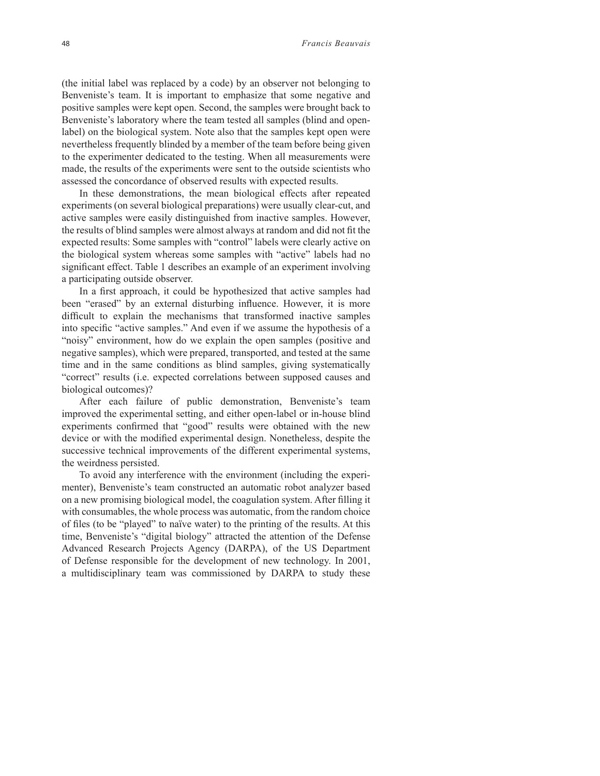(the initial label was replaced by a code) by an observer not belonging to Benveniste's team. It is important to emphasize that some negative and positive samples were kept open. Second, the samples were brought back to Benveniste's laboratory where the team tested all samples (blind and openlabel) on the biological system. Note also that the samples kept open were nevertheless frequently blinded by a member of the team before being given to the experimenter dedicated to the testing. When all measurements were made, the results of the experiments were sent to the outside scientists who assessed the concordance of observed results with expected results.

In these demonstrations, the mean biological effects after repeated experiments (on several biological preparations) were usually clear-cut, and active samples were easily distinguished from inactive samples. However, the results of blind samples were almost always at random and did not fit the expected results: Some samples with "control" labels were clearly active on the biological system whereas some samples with "active" labels had no significant effect. Table 1 describes an example of an experiment involving a participating outside observer.

In a first approach, it could be hypothesized that active samples had been "erased" by an external disturbing influence. However, it is more difficult to explain the mechanisms that transformed inactive samples into specific "active samples." And even if we assume the hypothesis of a "noisy" environment, how do we explain the open samples (positive and negative samples), which were prepared, transported, and tested at the same time and in the same conditions as blind samples, giving systematically "correct" results (i.e. expected correlations between supposed causes and biological outcomes)?

After each failure of public demonstration, Benveniste's team improved the experimental setting, and either open-label or in-house blind experiments confirmed that "good" results were obtained with the new device or with the modified experimental design. Nonetheless, despite the successive technical improvements of the different experimental systems, the weirdness persisted.

To avoid any interference with the environment (including the experimenter), Benveniste's team constructed an automatic robot analyzer based on a new promising biological model, the coagulation system. After filling it with consumables, the whole process was automatic, from the random choice of files (to be "played" to naïve water) to the printing of the results. At this time, Benveniste's "digital biology" attracted the attention of the Defense Advanced Research Projects Agency (DARPA), of the US Department of Defense responsible for the development of new technology. In 2001, a multidisciplinary team was commissioned by DARPA to study these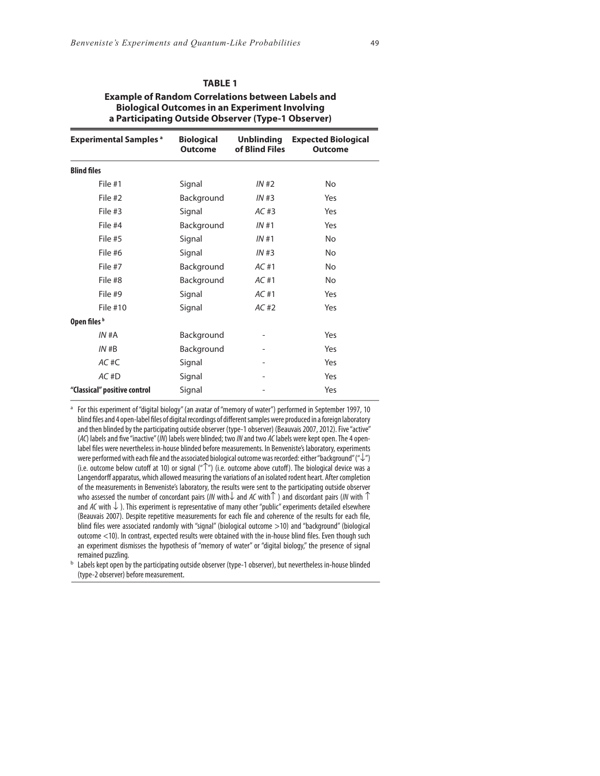| .                                                        |
|----------------------------------------------------------|
| <b>Example of Random Correlations between Labels and</b> |
| <b>Biological Outcomes in an Experiment Involving</b>    |
| a Participating Outside Observer (Type-1 Observer)       |

**TABLE 1**

| <b>Experimental Samples a</b> | <b>Biological</b><br><b>Outcome</b> | <b>Unblinding</b><br>of Blind Files | <b>Expected Biological</b><br><b>Outcome</b> |  |
|-------------------------------|-------------------------------------|-------------------------------------|----------------------------------------------|--|
| <b>Blind files</b>            |                                     |                                     |                                              |  |
| File #1                       | Signal                              | IN#2                                | <b>No</b>                                    |  |
| File #2                       | Background                          | IN#3                                | Yes                                          |  |
| File #3                       | Signal                              | AC#3                                | Yes                                          |  |
| File #4                       | Background                          | IN#1                                | Yes                                          |  |
| File #5                       | Signal                              | IN#1                                | <b>No</b>                                    |  |
| File #6                       | Signal                              | IN#3                                | <b>No</b>                                    |  |
| File #7                       | Background                          | AC#1                                | <b>No</b>                                    |  |
| File #8                       | Background                          | AC#1                                | <b>No</b>                                    |  |
| File #9                       | Signal                              | AC#1                                | Yes                                          |  |
| File #10                      | Signal                              | AC#2                                | Yes                                          |  |
| Open files b                  |                                     |                                     |                                              |  |
| IN#A                          | Background                          |                                     | Yes                                          |  |
| IN#B                          | Background                          |                                     | Yes                                          |  |
| $AC$ # $C$                    | Signal                              | -                                   | Yes                                          |  |
| $AC$ #D                       | Signal                              |                                     | Yes                                          |  |
| "Classical" positive control  | Signal                              |                                     | Yes                                          |  |

<sup>a</sup> For this experiment of "digital biology" (an avatar of "memory of water") performed in September 1997, 10 blind files and 4 open-label files of digital recordings of different samples were produced in a foreign laboratory and then blinded by the participating outside observer (type-1 observer) (Beauvais 2007, 2012). Five "active" (AC) labels and five "inactive" (*IN*) labels were blinded; two *IN* and two *AC* labels were kept open. The 4 openlabel files were nevertheless in-house blinded before measurements. In Benveniste's laboratory, experiments were performed with each file and the associated biological outcome was recorded: either "background" ("↓") (i.e. outcome below cutoff at 10) or signal (" $\Upsilon$ ") (i.e. outcome above cutoff). The biological device was a Langendorff apparatus, which allowed measuring the variations of an isolated rodent heart. After completion of the measurements in Benveniste's laboratory, the results were sent to the participating outside observer who assessed the number of concordant pairs (*IN* with↓ and *AC* with↑ ) and discordant pairs (*IN* with ↑ and *AC* with  $\downarrow$  ). This experiment is representative of many other "public" experiments detailed elsewhere (Beauvais 2007). Despite repetitive measurements for each file and coherence of the results for each file, blind files were associated randomly with "signal" (biological outcome >10) and "background" (biological outcome  $<$  10). In contrast, expected results were obtained with the in-house blind files. Even though such an experiment dismisses the hypothesis of "memory of water" or "digital biology," the presence of signal remained puzzling.

b Labels kept open by the participating outside observer (type-1 observer), but nevertheless in-house blinded (type-2 observer) before measurement.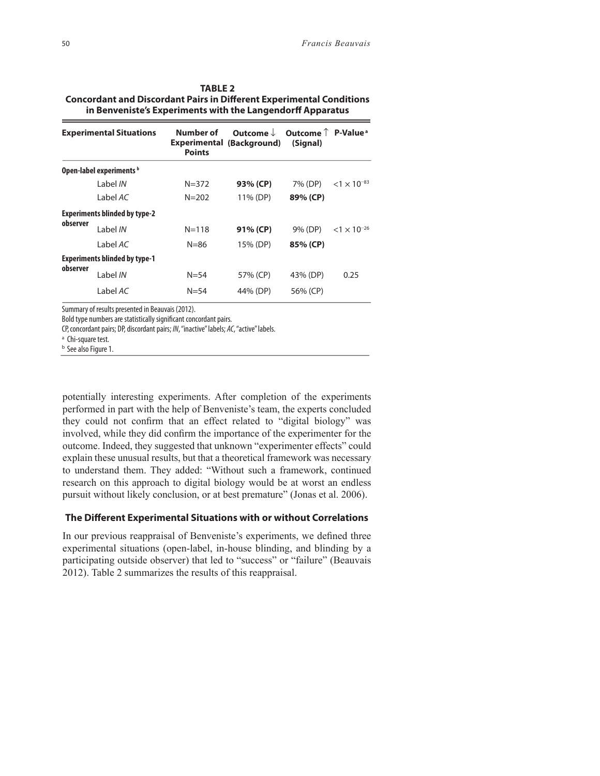| <b>TABLE 2</b>                                                              |
|-----------------------------------------------------------------------------|
| <b>Concordant and Discordant Pairs in Different Experimental Conditions</b> |
| in Benveniste's Experiments with the Langendorff Apparatus                  |

|          | <b>Experimental Situations</b>       | Number of<br><b>Points</b> | Outcome $\downarrow$<br><b>Experimental (Background)</b> | Outcome $\uparrow$ P-Value <sup>a</sup><br>(Signal) |                       |
|----------|--------------------------------------|----------------------------|----------------------------------------------------------|-----------------------------------------------------|-----------------------|
|          | Open-label experiments b             |                            |                                                          |                                                     |                       |
|          | Label IN                             | $N = 372$                  | 93% (CP)                                                 | 7% (DP)                                             | $< 1 \times 10^{-83}$ |
|          | Label AC                             | $N = 202$                  | 11% (DP)                                                 | 89% (CP)                                            |                       |
|          | <b>Experiments blinded by type-2</b> |                            |                                                          |                                                     |                       |
| observer | Label IN                             | $N = 118$                  | 91% (CP)                                                 | 9% (DP)                                             | $< 1 \times 10^{-26}$ |
|          | Label AC                             | $N = 86$                   | 15% (DP)                                                 | 85% (CP)                                            |                       |
|          | <b>Experiments blinded by type-1</b> |                            |                                                          |                                                     |                       |
| observer | Label IN                             | $N = 54$                   | 57% (CP)                                                 | 43% (DP)                                            | 0.25                  |
|          | Label AC                             | $N = 54$                   | 44% (DP)                                                 | 56% (CP)                                            |                       |

Summary of results presented in Beauvais (2012).

Bold type numbers are statistically significant concordant pairs.

CP,concordant pairs; DP, discordant pairs; *IN*, "inactive" labels; *AC*, "active" labels.

<sup>a</sup> Chi-square test.

b See also Figure 1.

potentially interesting experiments. After completion of the experiments performed in part with the help of Benveniste's team, the experts concluded they could not confirm that an effect related to "digital biology" was involved, while they did confirm the importance of the experimenter for the outcome. Indeed, they suggested that unknown "experimenter effects" could explain these unusual results, but that a theoretical framework was necessary to understand them. They added: "Without such a framework, continued research on this approach to digital biology would be at worst an endless pursuit without likely conclusion, or at best premature" (Jonas et al. 2006).

## **The Different Experimental Situations with or without Correlations**

In our previous reappraisal of Benveniste's experiments, we defined three experimental situations (open-label, in-house blinding, and blinding by a participating outside observer) that led to "success" or "failure" (Beauvais 2012). Table 2 summarizes the results of this reappraisal.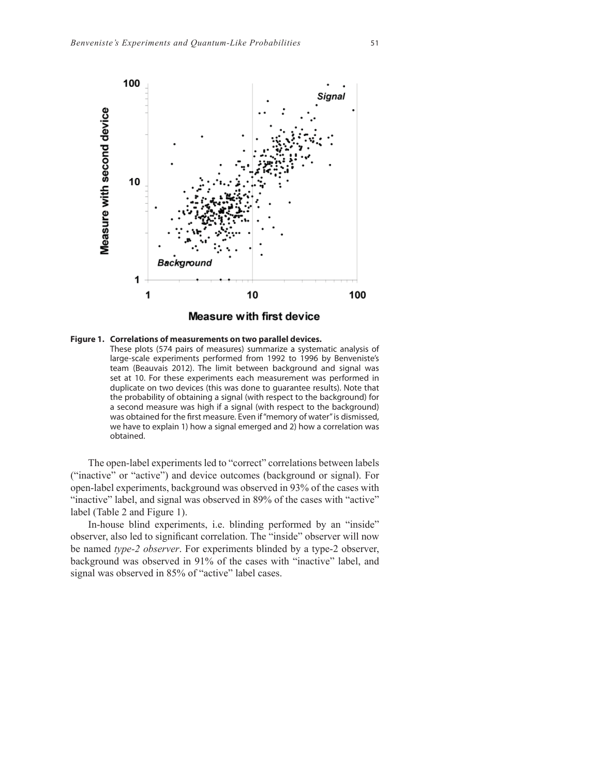

#### **Figure 1. Correlations of measurements on two parallel devices.**

 These plots (574 pairs of measures) summarize a systematic analysis of large-scale experiments performed from 1992 to 1996 by Benveniste's team (Beauvais 2012). The limit between background and signal was set at 10. For these experiments each measurement was performed in duplicate on two devices (this was done to guarantee results). Note that the probability of obtaining a signal (with respect to the background) for a second measure was high if a signal (with respect to the background) was obtained for the first measure. Even if "memory of water" is dismissed, we have to explain 1) how a signal emerged and 2) how a correlation was obtained.

The open-label experiments led to "correct" correlations between labels ("inactive" or "active") and device outcomes (background or signal). For open-label experiments, background was observed in 93% of the cases with "inactive" label, and signal was observed in 89% of the cases with "active" label (Table 2 and Figure 1).

In-house blind experiments, i.e. blinding performed by an "inside" observer, also led to significant correlation. The "inside" observer will now be named *type-2 observer*. For experiments blinded by a type-2 observer, background was observed in 91% of the cases with "inactive" label, and signal was observed in 85% of "active" label cases.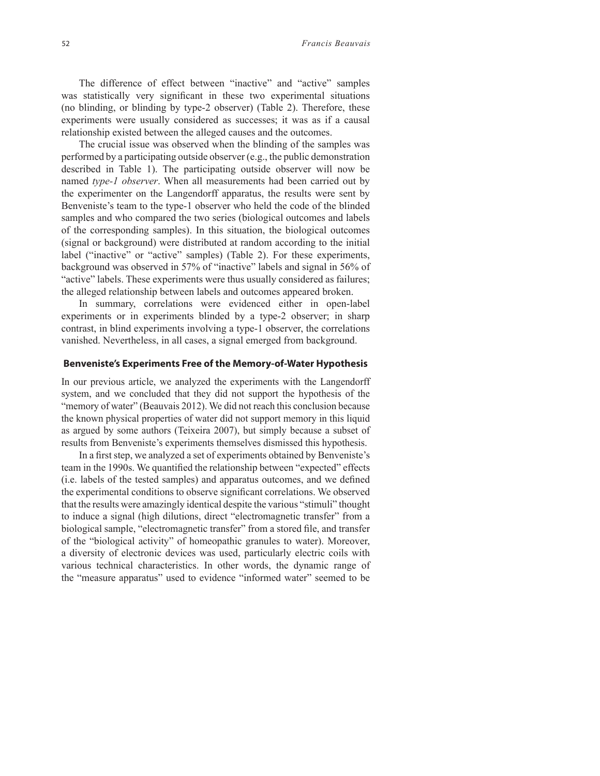The difference of effect between "inactive" and "active" samples was statistically very significant in these two experimental situations (no blinding, or blinding by type-2 observer) (Table 2). Therefore, these experiments were usually considered as successes; it was as if a causal relationship existed between the alleged causes and the outcomes.

The crucial issue was observed when the blinding of the samples was performed by a participating outside observer (e.g., the public demonstration described in Table 1). The participating outside observer will now be named *type-1 observer*. When all measurements had been carried out by the experimenter on the Langendorff apparatus, the results were sent by Benveniste's team to the type-1 observer who held the code of the blinded samples and who compared the two series (biological outcomes and labels of the corresponding samples). In this situation, the biological outcomes (signal or background) were distributed at random according to the initial label ("inactive" or "active" samples) (Table 2). For these experiments, background was observed in 57% of "inactive" labels and signal in 56% of "active" labels. These experiments were thus usually considered as failures; the alleged relationship between labels and outcomes appeared broken.

In summary, correlations were evidenced either in open-label experiments or in experiments blinded by a type-2 observer; in sharp contrast, in blind experiments involving a type-1 observer, the correlations vanished. Nevertheless, in all cases, a signal emerged from background.

## **Benveniste's Experiments Free of the Memory-of-Water Hypothesis**

In our previous article, we analyzed the experiments with the Langendorff system, and we concluded that they did not support the hypothesis of the "memory of water" (Beauvais 2012). We did not reach this conclusion because the known physical properties of water did not support memory in this liquid as argued by some authors (Teixeira 2007), but simply because a subset of results from Benveniste's experiments themselves dismissed this hypothesis.

In a first step, we analyzed a set of experiments obtained by Benveniste's team in the 1990s. We quantified the relationship between "expected" effects (i.e. labels of the tested samples) and apparatus outcomes, and we defined the experimental conditions to observe significant correlations. We observed that the results were amazingly identical despite the various "stimuli" thought to induce a signal (high dilutions, direct "electromagnetic transfer" from a biological sample, "electromagnetic transfer" from a stored file, and transfer of the "biological activity" of homeopathic granules to water). Moreover, a diversity of electronic devices was used, particularly electric coils with various technical characteristics. In other words, the dynamic range of the "measure apparatus" used to evidence "informed water" seemed to be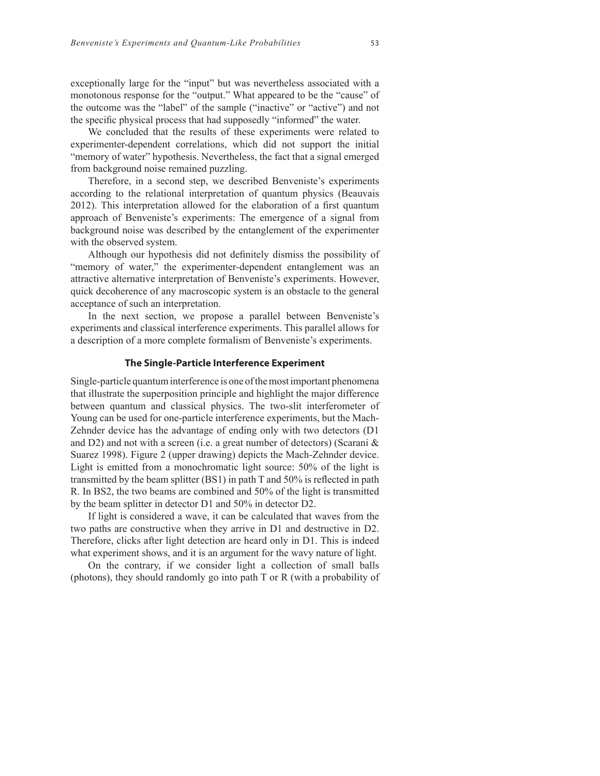exceptionally large for the "input" but was nevertheless associated with a monotonous response for the "output." What appeared to be the "cause" of the outcome was the "label" of the sample ("inactive" or "active") and not the specific physical process that had supposedly "informed" the water.

We concluded that the results of these experiments were related to experimenter-dependent correlations, which did not support the initial "memory of water" hypothesis. Nevertheless, the fact that a signal emerged from background noise remained puzzling.

Therefore, in a second step, we described Benveniste's experiments according to the relational interpretation of quantum physics (Beauvais 2012). This interpretation allowed for the elaboration of a first quantum approach of Benveniste's experiments: The emergence of a signal from background noise was described by the entanglement of the experimenter with the observed system.

Although our hypothesis did not definitely dismiss the possibility of "memory of water," the experimenter-dependent entanglement was an attractive alternative interpretation of Benveniste's experiments. However, quick decoherence of any macroscopic system is an obstacle to the general acceptance of such an interpretation.

In the next section, we propose a parallel between Benveniste's experiments and classical interference experiments. This parallel allows for a description of a more complete formalism of Benveniste's experiments.

#### **The Single-Particle Interference Experiment**

Single-particle quantum interference is one of the most important phenomena that illustrate the superposition principle and highlight the major difference between quantum and classical physics. The two-slit interferometer of Young can be used for one-particle interference experiments, but the Mach-Zehnder device has the advantage of ending only with two detectors (D1 and D2) and not with a screen (i.e. a great number of detectors) (Scarani & Suarez 1998). Figure 2 (upper drawing) depicts the Mach-Zehnder device. Light is emitted from a monochromatic light source: 50% of the light is transmitted by the beam splitter  $(BS1)$  in path T and 50% is reflected in path R. In BS2, the two beams are combined and 50% of the light is transmitted by the beam splitter in detector D1 and 50% in detector D2.

If light is considered a wave, it can be calculated that waves from the two paths are constructive when they arrive in D1 and destructive in D2. Therefore, clicks after light detection are heard only in D1. This is indeed what experiment shows, and it is an argument for the wavy nature of light.

On the contrary, if we consider light a collection of small balls (photons), they should randomly go into path T or R (with a probability of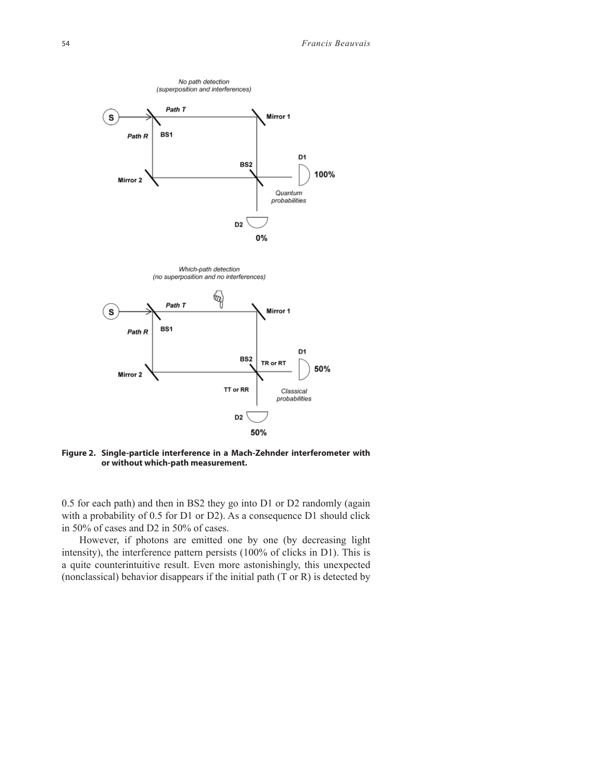

**Figure 2. Single-particle interference in a Mach-Zehnder interferometer with or without which-path measurement.**

0.5 for each path) and then in BS2 they go into D1 or D2 randomly (again with a probability of 0.5 for D1 or D2). As a consequence D1 should click in 50% of cases and D2 in 50% of cases.

However, if photons are emitted one by one (by decreasing light intensity), the interference pattern persists (100% of clicks in D1). This is a quite counterintuitive result. Even more astonishingly, this unexpected (nonclassical) behavior disappears if the initial path (T or R) is detected by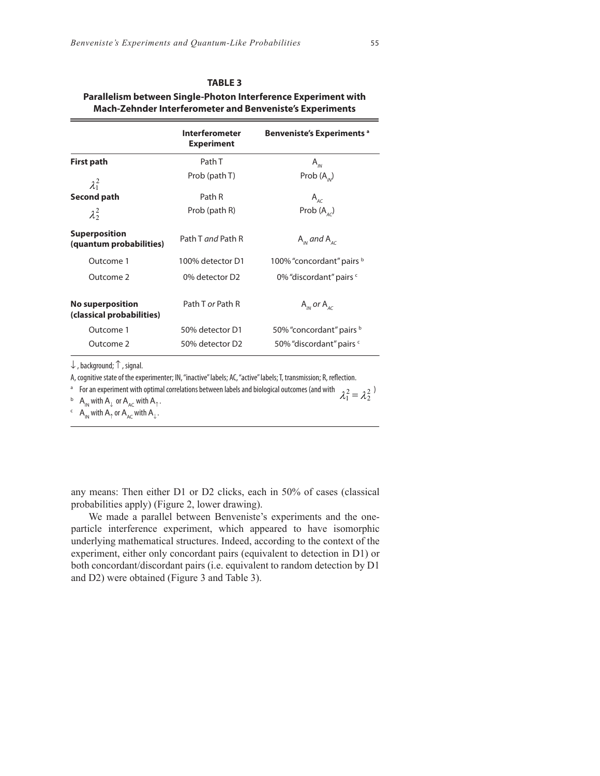| Parallelism between Single-Photon Interference Experiment with<br><b>Mach-Zehnder Interferometer and Benveniste's Experiments</b> |                                            |                                    |  |
|-----------------------------------------------------------------------------------------------------------------------------------|--------------------------------------------|------------------------------------|--|
|                                                                                                                                   | <b>Interferometer</b><br><b>Experiment</b> | <b>Benveniste's Experiments a</b>  |  |
| <b>First path</b>                                                                                                                 | Path T                                     | $A_{\scriptscriptstyle{IN}}$       |  |
| $\lambda_1^2$                                                                                                                     | Prob (path T)                              | Prob $(A_{\scriptscriptstyle IN})$ |  |
| Second path                                                                                                                       | Path R                                     | $A$ <sub>AC</sub>                  |  |
| $\lambda_2^2$                                                                                                                     | Prob (path R)                              | Prob $(A_{AC})$                    |  |
| <b>Superposition</b><br>(quantum probabilities)                                                                                   | Path T and Path R                          | $A_{\mu\nu}$ and $A_{\mu\sigma}$   |  |
| Outcome 1                                                                                                                         | 100% detector D1                           | 100% "concordant" pairs b          |  |
| Outcome 2                                                                                                                         | 0% detector D2                             | 0% "discordant" pairs c            |  |
| <b>No superposition</b><br>(classical probabilities)                                                                              | Path T or Path R                           | $A_{IN}$ or $A_{AC}$               |  |

# **TABLE 3**

↓ , background; ↑ , signal.

A, cognitive state of the experimenter; IN, "inactive" labels; AC, "active" labels; T, transmission; R, reflection.

<sup>a</sup> For an experiment with optimal correlations between labels and biological outcomes (and with  $\lambda_1^2 = \lambda_2^2$ )

Outcome 1 50% detector D1 50% "concordant" pairs b Outcome 2 50% detector D2 50% "discordant" pairs c

 $\Box$  A<sub>IN</sub> with A<sub>↓</sub> or A<sub>AC</sub> with A<sub>↑</sub>.

 $c \in A_{IN}$  with  $A_{\uparrow}$  or  $A_{AC}$  with  $A_{\downarrow}$ .

any means: Then either D1 or D2 clicks, each in 50% of cases (classical probabilities apply) (Figure 2, lower drawing).

We made a parallel between Benveniste's experiments and the oneparticle interference experiment, which appeared to have isomorphic underlying mathematical structures. Indeed, according to the context of the experiment, either only concordant pairs (equivalent to detection in D1) or both concordant/discordant pairs (i.e. equivalent to random detection by D1 and D2) were obtained (Figure 3 and Table 3).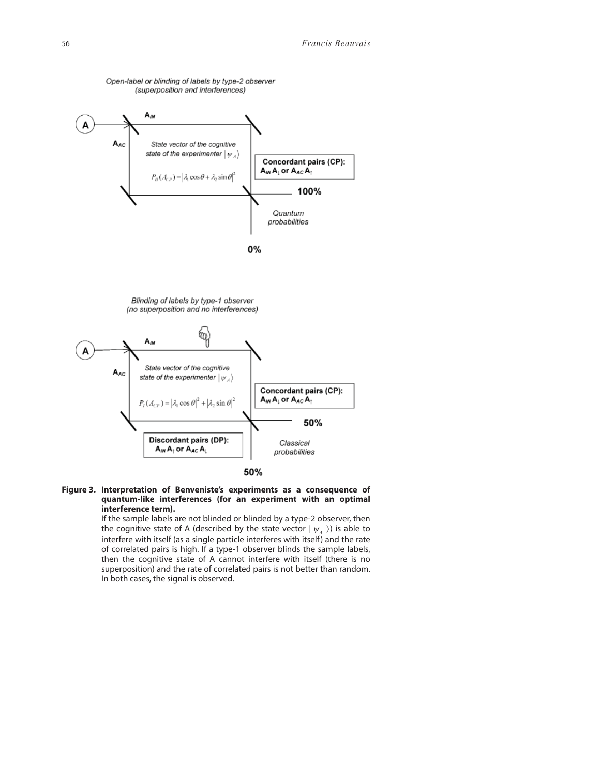

#### **Figure 3. Interpretation of Benveniste's experiments as a consequence of quantum-like interferences (for an experiment with an optimal interference term).**

 If the sample labels are not blinded or blinded by a type-2 observer, then the cognitive state of A (described by the state vector  $|\psi_{A}\rangle$ ) is able to interfere with itself (as a single particle interferes with itself) and the rate of correlated pairs is high. If a type-1 observer blinds the sample labels, then the cognitive state of A cannot interfere with itself (there is no superposition) and the rate of correlated pairs is not better than random. In both cases, the signal is observed.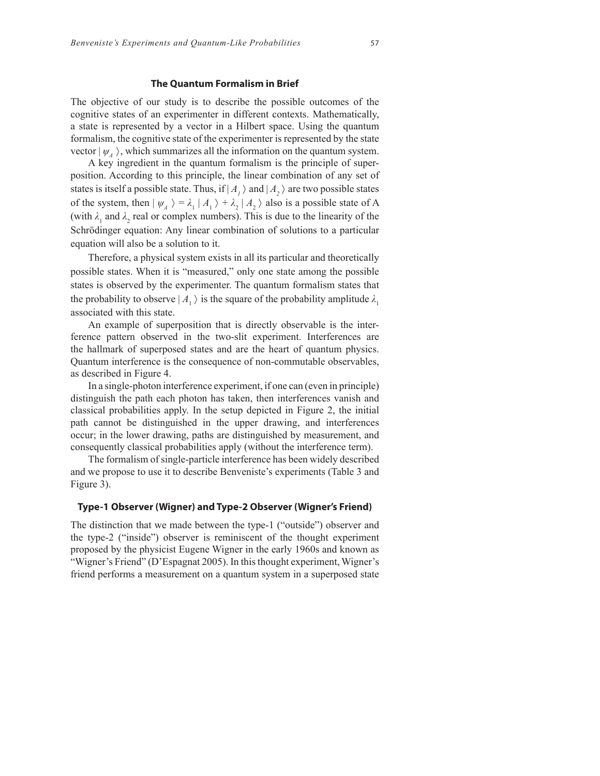#### **The Quantum Formalism in Brief**

The objective of our study is to describe the possible outcomes of the cognitive states of an experimenter in different contexts. Mathematically, a state is represented by a vector in a Hilbert space. Using the quantum formalism, the cognitive state of the experimenter is represented by the state vector  $|\psi_{A}\rangle$ , which summarizes all the information on the quantum system.

A key ingredient in the quantum formalism is the principle of superposition. According to this principle, the linear combination of any set of states is itself a possible state. Thus, if  $|A_1\rangle$  and  $|A_2\rangle$  are two possible states of the system, then  $|\psi_A\rangle = \lambda_1 |A_1\rangle + \lambda_2 |A_2\rangle$  also is a possible state of A (with  $\lambda_1$  and  $\lambda_2$  real or complex numbers). This is due to the linearity of the Schrödinger equation: Any linear combination of solutions to a particular equation will also be a solution to it.

Therefore, a physical system exists in all its particular and theoretically possible states. When it is "measured," only one state among the possible states is observed by the experimenter. The quantum formalism states that the probability to observe  $|A_1\rangle$  is the square of the probability amplitude  $\lambda$ , associated with this state.

An example of superposition that is directly observable is the interference pattern observed in the two-slit experiment. Interferences are the hallmark of superposed states and are the heart of quantum physics. Quantum interference is the consequence of non-commutable observables, as described in Figure 4.

In a single-photon interference experiment, if one can (even in principle) distinguish the path each photon has taken, then interferences vanish and classical probabilities apply. In the setup depicted in Figure 2, the initial path cannot be distinguished in the upper drawing, and interferences occur; in the lower drawing, paths are distinguished by measurement, and consequently classical probabilities apply (without the interference term).

The formalism of single-particle interference has been widely described and we propose to use it to describe Benveniste's experiments (Table 3 and Figure 3).

## **Type-1 Observer (Wigner) and Type-2 Observer (Wigner's Friend)**

The distinction that we made between the type-1 ("outside") observer and the type-2 ("inside") observer is reminiscent of the thought experiment proposed by the physicist Eugene Wigner in the early 1960s and known as "Wigner's Friend" (D'Espagnat 2005). In this thought experiment, Wigner's friend performs a measurement on a quantum system in a superposed state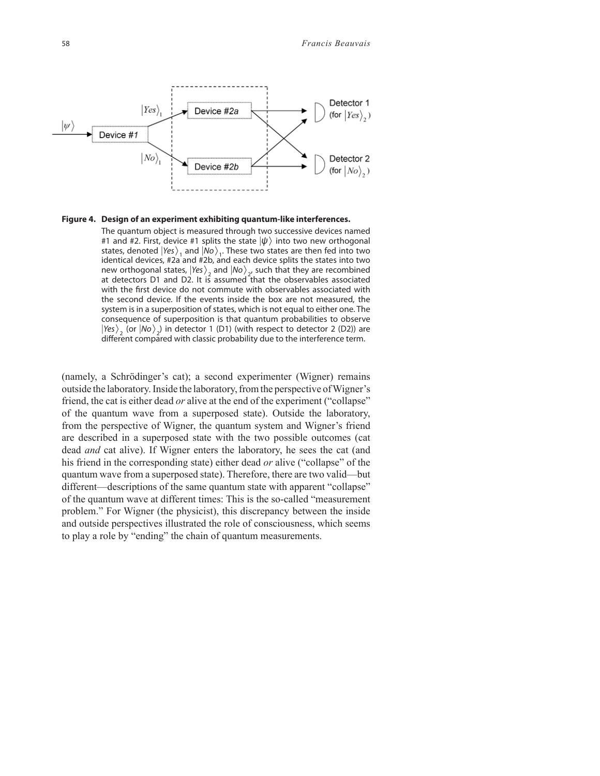

#### **Figure 4. Design of an experiment exhibiting quantum-like interferences.**

 The quantum object is measured through two successive devices named #1 and #2. First, device #1 splits the state  $|\psi\rangle$  into two new orthogonal states, denoted  $|Yes\rangle$ <sub>1</sub> and  $|No\rangle$ <sub>1</sub>. These two states are then fed into two identical devices, #2a and #2b, and each device splits the states into two new orthogonal states,  $|\text{Yes}\rangle$ <sub>2</sub> and  $|\text{No}\rangle$ <sub>2</sub>, such that they are recombined at detectors D1 and D2. It is assumed that the observables associated with the first device do not commute with observables associated with the second device. If the events inside the box are not measured, the system is in a superposition of states, which is not equal to either one. The consequence of superposition is that quantum probabilities to observe  $|Yes\rangle_{_2}$  (or  $|No\rangle_{_2}$ ) in detector 1 (D1) (with respect to detector 2 (D2)) are different compared with classic probability due to the interference term.

(namely, a Schrödinger's cat); a second experimenter (Wigner) remains outside the laboratory. Inside the laboratory, from the perspective of Wigner's friend, the cat is either dead *or* alive at the end of the experiment ("collapse" of the quantum wave from a superposed state). Outside the laboratory, from the perspective of Wigner, the quantum system and Wigner's friend are described in a superposed state with the two possible outcomes (cat dead *and* cat alive). If Wigner enters the laboratory, he sees the cat (and his friend in the corresponding state) either dead *or* alive ("collapse" of the quantum wave from a superposed state). Therefore, there are two valid—but different—descriptions of the same quantum state with apparent "collapse" of the quantum wave at different times: This is the so-called "measurement problem." For Wigner (the physicist), this discrepancy between the inside and outside perspectives illustrated the role of consciousness, which seems to play a role by "ending" the chain of quantum measurements.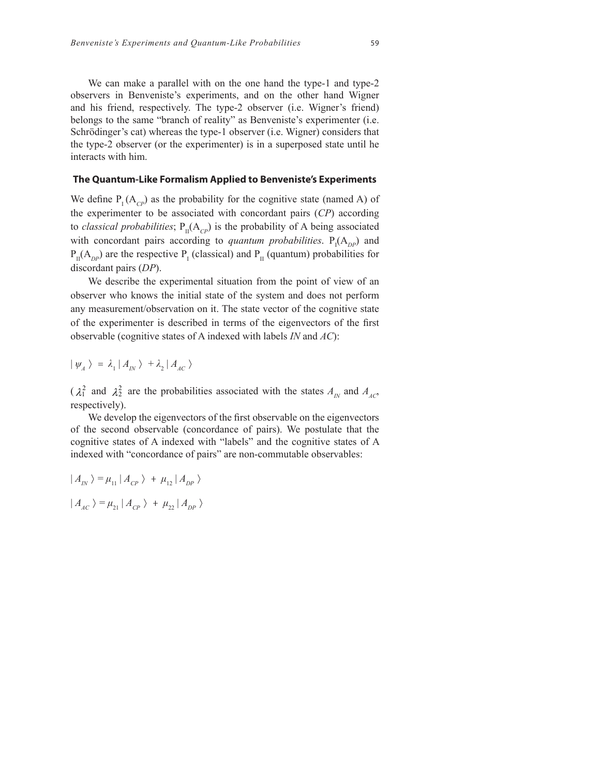We can make a parallel with on the one hand the type-1 and type-2 observers in Benveniste's experiments, and on the other hand Wigner and his friend, respectively. The type-2 observer (i.e. Wigner's friend) belongs to the same "branch of reality" as Benveniste's experimenter (i.e. Schrödinger's cat) whereas the type-1 observer (i.e. Wigner) considers that the type-2 observer (or the experimenter) is in a superposed state until he interacts with him.

### **The Quantum-Like Formalism Applied to Benveniste's Experiments**

We define  $P_1(A_{\text{CD}})$  as the probability for the cognitive state (named A) of the experimenter to be associated with concordant pairs (*CP*) according to *classical probabilities*;  $P_{II}(A_{CP})$  is the probability of A being associated with concordant pairs according to *quantum probabilities*.  $P_I(A_{DP})$  and  $P_{II}(A_{DP})$  are the respective  $P_{I}$  (classical) and  $P_{II}$  (quantum) probabilities for discordant pairs (*DP*).

We describe the experimental situation from the point of view of an observer who knows the initial state of the system and does not perform any measurement/observation on it. The state vector of the cognitive state of the experimenter is described in terms of the eigenvectors of the first observable (cognitive states of A indexed with labels *IN* and *AC*):

$$
|\psi_{A}\rangle = \lambda_{1} |A_{IN}\rangle + \lambda_{2} |A_{AC}\rangle
$$

 $(\lambda_1^2$  and  $\lambda_2^2$  are the probabilities associated with the states  $A_N$  and  $A_{AC}$ , respectively).

We develop the eigenvectors of the first observable on the eigenvectors of the second observable (concordance of pairs). We postulate that the cognitive states of A indexed with "labels" and the cognitive states of A indexed with "concordance of pairs" are non-commutable observables:

$$
| A_{IN} \rangle = \mu_{11} | A_{CP} \rangle + \mu_{12} | A_{DP} \rangle
$$
  

$$
| A_{AC} \rangle = \mu_{21} | A_{CP} \rangle + \mu_{22} | A_{DP} \rangle
$$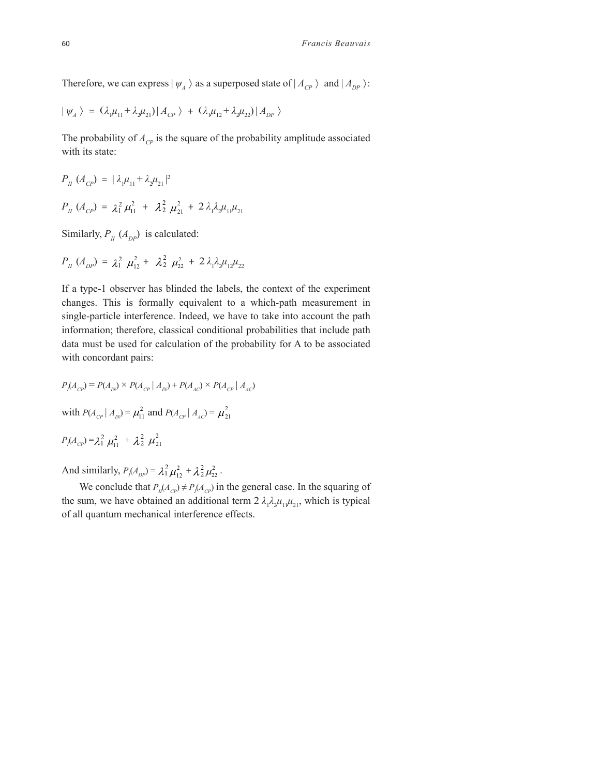Therefore, we can express  $|\psi_{A}\rangle$  as a superposed state of  $|A_{CP}\rangle$  and  $|A_{DP}\rangle$ :

$$
|\psi_{A}\rangle = (\lambda_{1}\mu_{11} + \lambda_{2}\mu_{21})|A_{CP}\rangle + (\lambda_{1}\mu_{12} + \lambda_{2}\mu_{22})|A_{DP}\rangle
$$

The probability of  $A_{CP}$  is the square of the probability amplitude associated with its state:

$$
P_{II} (A_{CP}) = |\lambda_{\mu} \mu_{11} + \lambda_{2} \mu_{21}|^{2}
$$
  

$$
P_{II} (A_{CP}) = \lambda_{1}^{2} \mu_{11}^{2} + \lambda_{2}^{2} \mu_{21}^{2} + 2 \lambda_{1} \lambda_{2} \mu_{11} \mu_{21}
$$

Similarly,  $P_{II}$  ( $A_{DP}$ ) is calculated:

$$
P_{II} (A_{DP}) = \lambda_1^2 \mu_{12}^2 + \lambda_2^2 \mu_{22}^2 + 2 \lambda_1 \lambda_2 \mu_{12} \mu_{22}
$$

If a type-1 observer has blinded the labels, the context of the experiment changes. This is formally equivalent to a which-path measurement in single-particle interference. Indeed, we have to take into account the path information; therefore, classical conditional probabilities that include path data must be used for calculation of the probability for A to be associated with concordant pairs:

$$
P_{I}(A_{CP}) = P(A_{IN}) \times P(A_{CP} | A_{IN}) + P(A_{AC}) \times P(A_{CP} | A_{AC})
$$

with  $P(A_{CP} | A_{IN}) = \mu_{11}^2$  and  $P(A_{CP} | A_{AC}) = \mu_{21}^2$ 

$$
P_{I}(A_{CP}) = \lambda_1^2 \mu_{11}^2 + \lambda_2^2 \mu_{21}^2
$$

And similarly,  $P_l(A_{DP}) = \lambda_1^2 \mu_{12}^2 + \lambda_2^2 \mu_{22}^2$ .

We conclude that  $P_{I}(A_{CP}) \neq P_{I}(A_{CP})$  in the general case. In the squaring of the sum, we have obtained an additional term  $2 \lambda_1 \lambda_2 \mu_{11} \mu_{21}$ , which is typical of all quantum mechanical interference effects.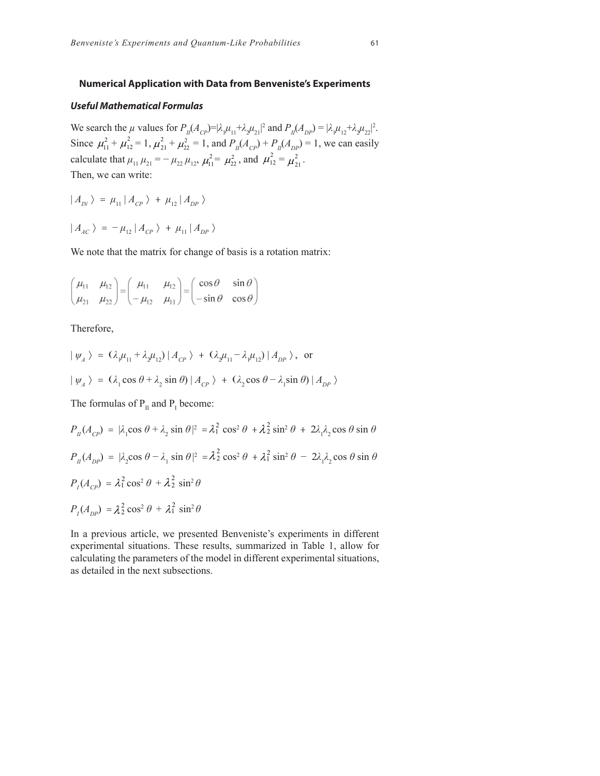#### **Numerical Application with Data from Benveniste's Experiments**

#### *Useful Mathematical Formulas*

We search the  $\mu$  values for  $P_{II}(A_{CP})=|\lambda_1\mu_{11}+\lambda_2\mu_{21}|^2$  and  $P_{II}(A_{DP})=|\lambda_1\mu_{12}+\lambda_2\mu_{22}|^2$ . Since  $\mu_{11}^2 + \mu_{12}^2 = 1$ ,  $\mu_{21}^2 + \mu_{22}^2 = 1$ , and  $P_{II}(A_{CP}) + P_{II}(A_{DP}) = 1$ , we can easily calculate that  $\mu_{11} \mu_{21} = -\mu_{22} \mu_{12}$ ,  $\mu_{11}^2 = \mu_{22}^2$ , and  $\mu_{12}^2 = \mu_{21}^2$ . Then, we can write:

$$
|A_{IN}\rangle = \mu_{11} |A_{CP}\rangle + \mu_{12} |A_{DP}\rangle
$$

$$
|A_{AC}\rangle = -\mu_{12} |A_{CP}\rangle + \mu_{11} |A_{DP}\rangle
$$

We note that the matrix for change of basis is a rotation matrix:

$$
\begin{pmatrix} \mu_{11} & \mu_{12} \\ \mu_{21} & \mu_{22} \end{pmatrix} = \begin{pmatrix} \mu_{11} & \mu_{12} \\ -\mu_{12} & \mu_{11} \end{pmatrix} = \begin{pmatrix} \cos \theta & \sin \theta \\ -\sin \theta & \cos \theta \end{pmatrix}
$$

Therefore,

$$
\begin{aligned} \n\vert \psi_A \,\rangle &= \left(\lambda_{1}\mu_{11} + \lambda_{2}\mu_{12}\right) \vert A_{CP} \,\rangle + \left(\lambda_{2}\mu_{11} - \lambda_{1}\mu_{12}\right) \vert A_{DP} \,\rangle, \text{ or} \\ \n\vert \psi_A \,\rangle &= \left(\lambda_{1}\cos\theta + \lambda_{2}\sin\theta\right) \vert A_{CP} \,\rangle + \left(\lambda_{2}\cos\theta - \lambda_{1}\sin\theta\right) \vert A_{DP} \,\rangle \n\end{aligned}
$$

The formulas of  $P_{II}$  and  $P_{I}$  become:

$$
P_{II}(A_{CP}) = |\lambda_1 \cos \theta + \lambda_2 \sin \theta|^2 = \lambda_1^2 \cos^2 \theta + \lambda_2^2 \sin^2 \theta + 2\lambda_1 \lambda_2 \cos \theta \sin \theta
$$
  
\n
$$
P_{II}(A_{DP}) = |\lambda_2 \cos \theta - \lambda_1 \sin \theta|^2 = \lambda_2^2 \cos^2 \theta + \lambda_1^2 \sin^2 \theta - 2\lambda_1 \lambda_2 \cos \theta \sin \theta
$$
  
\n
$$
P_{I}(A_{CP}) = \lambda_1^2 \cos^2 \theta + \lambda_2^2 \sin^2 \theta
$$
  
\n
$$
P_{I}(A_{DP}) = \lambda_2^2 \cos^2 \theta + \lambda_1^2 \sin^2 \theta
$$

In a previous article, we presented Benveniste's experiments in different experimental situations. These results, summarized in Table 1, allow for calculating the parameters of the model in different experimental situations, as detailed in the next subsections.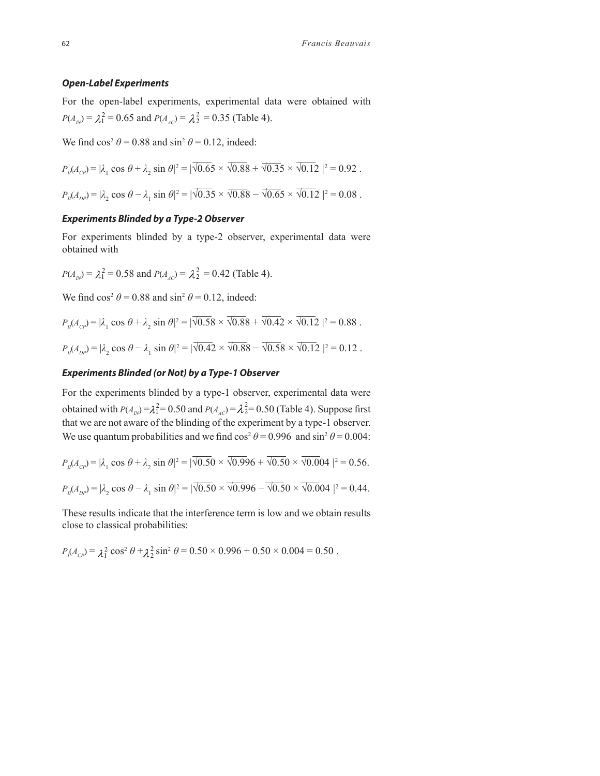#### *Open-Label Experiments*

For the open-label experiments, experimental data were obtained with  $P(A_{IN}) = \lambda_1^2 = 0.65$  and  $P(A_{AC}) = \lambda_2^2 = 0.35$  (Table 4).

We find  $\cos^2 \theta = 0.88$  and  $\sin^2 \theta = 0.12$ , indeed:

$$
P_{I}(A_{CP}) = |\lambda_1 \cos \theta + \lambda_2 \sin \theta|^2 = |\overline{\sqrt{0.65}} \times \overline{\sqrt{0.88}} + \overline{\sqrt{0.35}} \times \overline{\sqrt{0.12}}|^2 = 0.92.
$$

 $P_{II}(A_{DP}) = |\lambda_2 \cos \theta - \lambda_1 \sin \theta|^2 = |\sqrt{0.35} \times \sqrt{0.88} - \sqrt{0.65} \times \sqrt{0.12}|^2 = 0.08$ .

## *Experiments Blinded by a Type-2 Observer*

For experiments blinded by a type-2 observer, experimental data were obtained with

$$
P(A_{IN}) = \lambda_1^2 = 0.58
$$
 and  $P(A_{AC}) = \lambda_2^2 = 0.42$  (Table 4).

We find  $\cos^2 \theta = 0.88$  and  $\sin^2 \theta = 0.12$ , indeed:

$$
P_{I}(A_{CP}) = |\lambda_1 \cos \theta + \lambda_2 \sin \theta|^2 = |\overline{\sqrt{0.58}} \times \overline{\sqrt{0.88}} + \overline{\sqrt{0.42}} \times \overline{\sqrt{0.12}}|^2 = 0.88.
$$
  

$$
P_{I}(A_{DP}) = |\lambda_2 \cos \theta - \lambda_1 \sin \theta|^2 = |\overline{\sqrt{0.42}} \times \overline{\sqrt{0.88}} - \overline{\sqrt{0.58}} \times \overline{\sqrt{0.12}}|^2 = 0.12.
$$

## *Experiments Blinded (or Not) by a Type-1 Observer*

For the experiments blinded by a type-1 observer, experimental data were obtained with  $P(A_{IN}) = \lambda_1^2 = 0.50$  and  $P(A_{AC}) = \lambda_2^2 = 0.50$  (Table 4). Suppose first that we are not aware of the blinding of the experiment by a type-1 observer. We use quantum probabilities and we find  $\cos^2 \theta = 0.996$  and  $\sin^2 \theta = 0.004$ :

$$
P_{\mu}(A_{CP}) = |\lambda_1 \cos \theta + \lambda_2 \sin \theta|^2 = |\sqrt{0.50} \times \sqrt{0.996} + \sqrt{0.50} \times \sqrt{0.004}|^2 = 0.56.
$$
  

$$
P_{\mu}(A_{DP}) = |\lambda_2 \cos \theta - \lambda_1 \sin \theta|^2 = |\sqrt{0.50} \times \sqrt{0.996} - \sqrt{0.50} \times \sqrt{0.004}|^2 = 0.44.
$$

These results indicate that the interference term is low and we obtain results close to classical probabilities:

$$
P_l(A_{cp}) = \lambda_1^2 \cos^2 \theta + \lambda_2^2 \sin^2 \theta = 0.50 \times 0.996 + 0.50 \times 0.004 = 0.50.
$$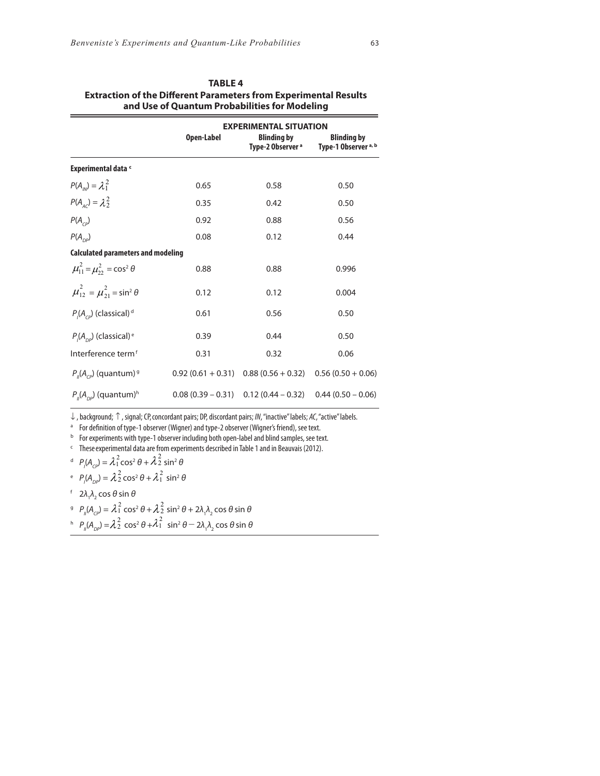| and Use of Quantum Probabilities for Modeling            |                     |                                                                          |                                                       |
|----------------------------------------------------------|---------------------|--------------------------------------------------------------------------|-------------------------------------------------------|
|                                                          | <b>Open-Label</b>   | <b>EXPERIMENTAL SITUATION</b><br><b>Blinding by</b><br>Type-2 Observer ª | <b>Blinding by</b><br>Type-1 Observer <sup>a, b</sup> |
| <b>Experimental data c</b>                               |                     |                                                                          |                                                       |
| $P(A_{\mu}) = \lambda_1^2$                               | 0.65                | 0.58                                                                     | 0.50                                                  |
| $P(A_{AC}) = \lambda_2^2$                                | 0.35                | 0.42                                                                     | 0.50                                                  |
| $P(A_{\text{CD}})$                                       | 0.92                | 0.88                                                                     | 0.56                                                  |
| $P(A_{\scriptscriptstyle{D}P})$                          | 0.08                | 0.12                                                                     | 0.44                                                  |
| <b>Calculated parameters and modeling</b>                |                     |                                                                          |                                                       |
| $\mu_{11}^2 = \mu_{22}^2 = \cos^2 \theta$                | 0.88                | 0.88                                                                     | 0.996                                                 |
| $\mu_{12}^2 = \mu_{21}^2 = \sin^2 \theta$                | 0.12                | 0.12                                                                     | 0.004                                                 |
| $P(A_{cp})$ (classical) <sup>d</sup>                     | 0.61                | 0.56                                                                     | 0.50                                                  |
| $P(A_{\scriptscriptstyle{DP}})$ (classical) <sup>e</sup> | 0.39                | 0.44                                                                     | 0.50                                                  |
| Interference term <sup>f</sup>                           | 0.31                | 0.32                                                                     | 0.06                                                  |
| $P_{\mu}(A_{cp})$ (quantum) <sup>9</sup>                 | $0.92(0.61 + 0.31)$ | $0.88(0.56 + 0.32)$                                                      | $0.56(0.50 + 0.06)$                                   |
| $P_{\mu}(A_{\rho\rho})$ (quantum) <sup>h</sup>           |                     | $0.08(0.39 - 0.31)$ $0.12(0.44 - 0.32)$                                  | $0.44(0.50 - 0.06)$                                   |

| <b>TABLE 4</b>                                                          |
|-------------------------------------------------------------------------|
| <b>Extraction of the Different Parameters from Experimental Results</b> |
| and Use of Quantum Probabilities for Modeling                           |

↓ , background; ↑ , signal; CP,concordant pairs; DP, discordant pairs; *IN*, "inactive" labels; *AC*, "active" labels.

<sup>a</sup> For definition of type-1 observer (Wigner) and type-2 observer (Wigner's friend), see text.

<sup>b</sup> For experiments with type-1 observer including both open-label and blind samples, see text.

<sup>c</sup> Theseexperimental data are from experiments described in Table 1 and in Beauvais (2012).

$$
{}^{d} \hspace{0.2cm} P_{1}(A_{CP}) = \lambda_{1}^{2} \cos^{2} \theta + \lambda_{2}^{2} \sin^{2} \theta
$$

$$
^{e}P_{1}(A_{DP}) = \lambda_{2}^{2} \cos^{2} \theta + \lambda_{1}^{2} \sin^{2} \theta
$$

<sup>f</sup>  $2\lambda_1\lambda_2 \cos\theta \sin\theta$ 

$$
{}^{9}P_{\parallel}(A_{CP}) = \lambda_1^2 \cos^2 \theta + \lambda_2^2 \sin^2 \theta + 2\lambda_1 \lambda_2 \cos \theta \sin \theta
$$

<sup>h</sup>  $P_{\parallel} (A_{\rho \rho}) = \lambda_2^2 \cos^2 \theta + \lambda_1^2 \sin^2 \theta - 2\lambda_1 \lambda_2 \cos \theta \sin \theta$  $\lambda_2^2 \cos^2 \theta + \lambda_1^2$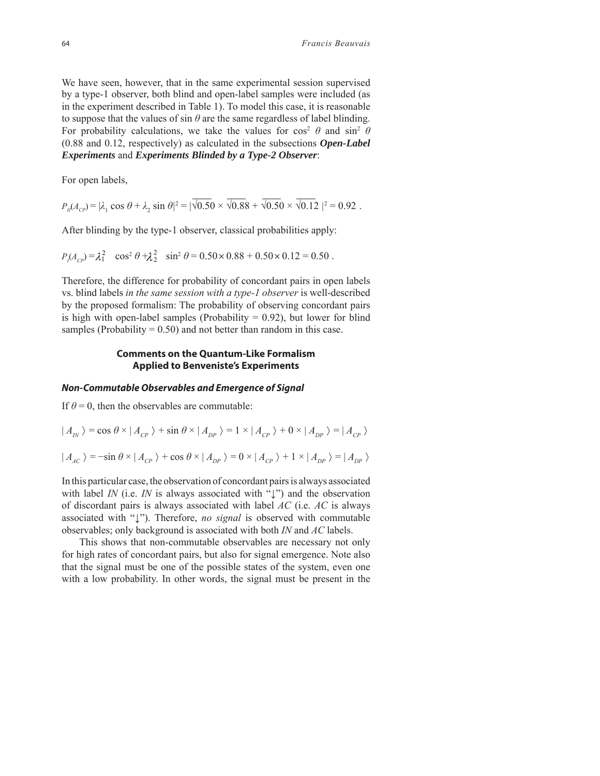We have seen, however, that in the same experimental session supervised by a type-1 observer, both blind and open-label samples were included (as in the experiment described in Table 1). To model this case, it is reasonable to suppose that the values of sin  $\theta$  are the same regardless of label blinding. For probability calculations, we take the values for cos<sup>2</sup>  $\theta$  and sin<sup>2</sup>  $\theta$ (0.88 and 0.12, respectively) as calculated in the subsections *Open-Label Experiments* and *Experiments Blinded by a Type-2 Observer*:

For open labels,

 $P_{II}(A_{CP}) = |\lambda_1 \cos \theta + \lambda_2 \sin \theta|^2 = |\sqrt{0.50} \times \sqrt{0.88} + \sqrt{0.50} \times \sqrt{0.12}|^2 = 0.92$ .

After blinding by the type-1 observer, classical probabilities apply:

$$
P_{\rm p}(A_{\rm CP}) = \lambda_1^2 \quad \cos^2 \theta + \lambda_2^2 \quad \sin^2 \theta = 0.50 \times 0.88 + 0.50 \times 0.12 = 0.50 \ .
$$

Therefore, the difference for probability of concordant pairs in open labels vs. blind labels *in the same session with a type-1 observer* is well-described by the proposed formalism: The probability of observing concordant pairs is high with open-label samples (Probability  $= 0.92$ ), but lower for blind samples (Probability  $= 0.50$ ) and not better than random in this case.

#### **Comments on the Quantum-Like Formalism Applied to Benveniste's Experiments**

## *Non-Commutable Observables and Emergence of Signal*

If  $\theta = 0$ , then the observables are commutable:

$$
|A_{IN}\rangle = \cos\theta \times |A_{CP}\rangle + \sin\theta \times |A_{DP}\rangle = 1 \times |A_{CP}\rangle + 0 \times |A_{DP}\rangle = |A_{CP}\rangle
$$
  

$$
|A_{AC}\rangle = -\sin\theta \times |A_{CP}\rangle + \cos\theta \times |A_{DP}\rangle = 0 \times |A_{CP}\rangle + 1 \times |A_{DP}\rangle = |A_{DP}\rangle
$$

In this particular case, the observation of concordant pairs is always associated with label *IN* (i.e. *IN* is always associated with "<sup>'</sup>') and the observation of discordant pairs is always associated with label *AC* (i.e. *AC* is always associated with "↓"). Therefore, *no signal* is observed with commutable observables; only background is associated with both *IN* and *AC* labels.

This shows that non-commutable observables are necessary not only for high rates of concordant pairs, but also for signal emergence. Note also that the signal must be one of the possible states of the system, even one with a low probability. In other words, the signal must be present in the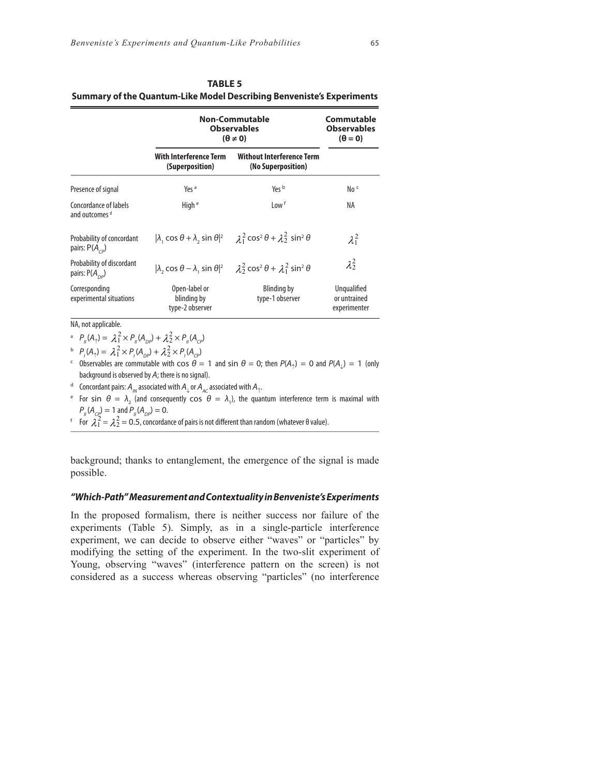|                                                        | <b>Non-Commutable</b><br><b>Observables</b><br>$(\theta \neq 0)$ |                                                                                                             | Commutable<br><b>Observables</b><br>$(\theta = 0)$ |
|--------------------------------------------------------|------------------------------------------------------------------|-------------------------------------------------------------------------------------------------------------|----------------------------------------------------|
|                                                        | With Interference Term<br>(Superposition)                        | <b>Without Interference Term</b><br>(No Superposition)                                                      |                                                    |
| Presence of signal                                     | Yes <sup>a</sup>                                                 | Yes b                                                                                                       | No <sub>c</sub>                                    |
| Concordance of labels<br>and outcomes d                | High <sup>e</sup>                                                | Low <sup>f</sup>                                                                                            | ΝA                                                 |
| Probability of concordant<br>pairs: $P(A_{\text{co}})$ |                                                                  | $ \lambda_1 \cos \theta + \lambda_2 \sin \theta ^2$ $\lambda_1^2 \cos^2 \theta + \lambda_2^2 \sin^2 \theta$ | $\lambda_1^2$                                      |
| Probability of discordant<br>pairs: $P(A_{\text{on}})$ |                                                                  | $ \lambda, \cos \theta - \lambda, \sin \theta ^2$ $\lambda_2^2 \cos^2 \theta + \lambda_1^2 \sin^2 \theta$   | $\lambda_2^2$                                      |
| Corresponding<br>experimental situations               | Open-label or<br>blinding by<br>type-2 observer                  | Blinding by<br>type-1 observer                                                                              | Unqualified<br>or untrained<br>experimenter        |

| <b>TABLE 5</b>                                                               |
|------------------------------------------------------------------------------|
| <b>Summary of the Quantum-Like Model Describing Benveniste's Experiments</b> |

NA, not applicable.

<sup>a</sup>  $P_{\mu}(A_{\uparrow}) = \lambda_1^2 \times P_{\mu}(A_{\rho\rho}) + \lambda_2^2 \times P_{\mu}(A_{\rho\rho})$ 

 $P_{1}(A_{\uparrow}) = \lambda_{1}^{2} \times P_{1}(A_{\text{DP}}) + \lambda_{2}^{2} \times P_{1}(A_{\text{CP}})$ 

<sup>c</sup> Observables are commutable with  $\cos \theta = 1$  and  $\sin \theta = 0$ ; then  $P(A_1) = 0$  and  $P(A_1) = 1$  (only background is observed by A; there is no signal).

<sup>d</sup> Concordant pairs:  $A_{1N}$  associated with  $A_{1N}$  or  $A_{1N}$  associated with  $A_{2N}$ .

 $e$  For sin  $θ = λ_2$  (and consequently  $cos θ = λ_1$ ), the quantum interference term is maximal with  $P_{\mu}(A_{\text{co}}) = 1$  and  $P_{\mu}(A_{\text{co}}) = 0$ .

<sup>f</sup> For  $\tilde{\chi}_1^2$  =  $\tilde{\chi}_2^2$  = 0.5, concordance of pairs is not different than random (whatever θ value).

background; thanks to entanglement, the emergence of the signal is made possible.

#### *"Which-Path" Measurement and Contextuality in Benveniste's Experiments*

In the proposed formalism, there is neither success nor failure of the experiments (Table 5). Simply, as in a single-particle interference experiment, we can decide to observe either "waves" or "particles" by modifying the setting of the experiment. In the two-slit experiment of Young, observing "waves" (interference pattern on the screen) is not considered as a success whereas observing "particles" (no interference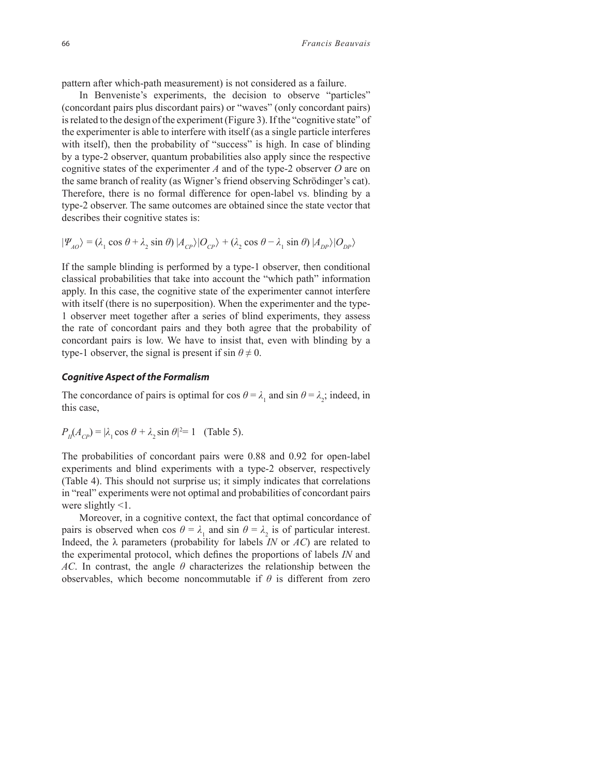pattern after which-path measurement) is not considered as a failure.

In Benveniste's experiments, the decision to observe "particles" (concordant pairs plus discordant pairs) or "waves" (only concordant pairs) is related to the design of the experiment (Figure 3). If the "cognitive state" of the experimenter is able to interfere with itself (as a single particle interferes with itself), then the probability of "success" is high. In case of blinding by a type-2 observer, quantum probabilities also apply since the respective cognitive states of the experimenter *A* and of the type-2 observer *O* are on the same branch of reality (as Wigner's friend observing Schrödinger's cat). Therefore, there is no formal difference for open-label vs. blinding by a type-2 observer. The same outcomes are obtained since the state vector that describes their cognitive states is:

$$
|\Psi_{AO}\rangle = (\lambda_1 \cos \theta + \lambda_2 \sin \theta) |A_{CP}\rangle |O_{CP}\rangle + (\lambda_2 \cos \theta - \lambda_1 \sin \theta) |A_{DP}\rangle |O_{DP}\rangle
$$

If the sample blinding is performed by a type-1 observer, then conditional classical probabilities that take into account the "which path" information apply. In this case, the cognitive state of the experimenter cannot interfere with itself (there is no superposition). When the experimenter and the type-1 observer meet together after a series of blind experiments, they assess the rate of concordant pairs and they both agree that the probability of concordant pairs is low. We have to insist that, even with blinding by a type-1 observer, the signal is present if  $\sin \theta \neq 0$ .

#### *Cognitive Aspect of the Formalism*

The concordance of pairs is optimal for cos  $\theta = \lambda_1$  and sin  $\theta = \lambda_2$ ; indeed, in this case,

$$
P_{II}(A_{CP}) = |\lambda_1 \cos \theta + \lambda_2 \sin \theta|^2 = 1
$$
 (Table 5).

The probabilities of concordant pairs were 0.88 and 0.92 for open-label experiments and blind experiments with a type-2 observer, respectively (Table 4). This should not surprise us; it simply indicates that correlations in "real" experiments were not optimal and probabilities of concordant pairs were slightly <1.

Moreover, in a cognitive context, the fact that optimal concordance of pairs is observed when cos  $\theta = \lambda_1$  and sin  $\theta = \lambda_2$  is of particular interest. Indeed, the λ parameters (probability for labels *IN* or *AC*) are related to the experimental protocol, which defines the proportions of labels *IN* and *AC*. In contrast, the angle *θ* characterizes the relationship between the observables, which become noncommutable if  $\theta$  is different from zero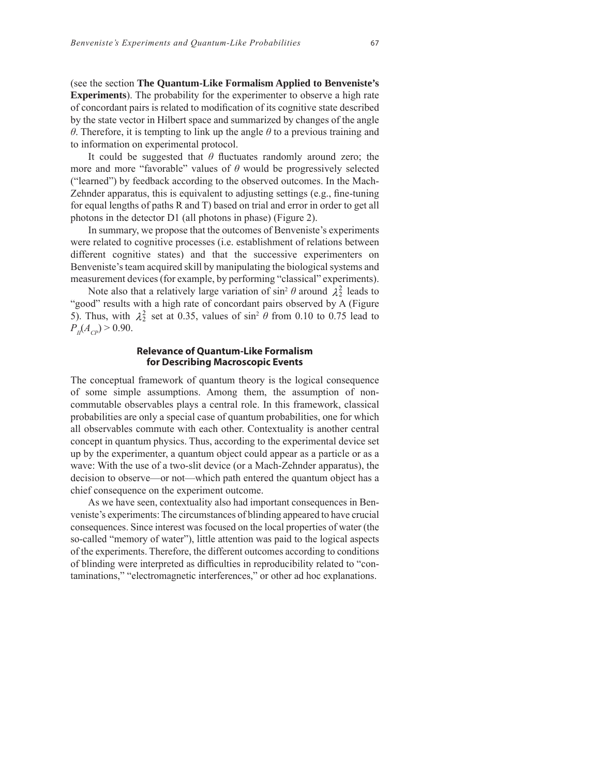(see the section **The Quantum-Like Formalism Applied to Benveniste's Experiments**). The probability for the experimenter to observe a high rate of concordant pairs is related to modification of its cognitive state described by the state vector in Hilbert space and summarized by changes of the angle *θ*. Therefore, it is tempting to link up the angle *θ* to a previous training and to information on experimental protocol.

It could be suggested that  $\theta$  fluctuates randomly around zero; the more and more "favorable" values of  $\theta$  would be progressively selected ("learned") by feedback according to the observed outcomes. In the Mach-Zehnder apparatus, this is equivalent to adjusting settings (e.g., fine-tuning for equal lengths of paths R and T) based on trial and error in order to get all photons in the detector D1 (all photons in phase) (Figure 2).

In summary, we propose that the outcomes of Benveniste's experiments were related to cognitive processes (i.e. establishment of relations between different cognitive states) and that the successive experimenters on Benveniste's team acquired skill by manipulating the biological systems and measurement devices (for example, by performing "classical" experiments).

Note also that a relatively large variation of  $\sin^2 \theta$  around  $\lambda_2^2$  leads to "good" results with a high rate of concordant pairs observed by A (Figure 5). Thus, with  $\lambda_2^2$  set at 0.35, values of sin<sup>2</sup>  $\theta$  from 0.10 to 0.75 lead to  $P_{I\!I}(A_{CP})$  > 0.90.

#### **Relevance of Quantum-Like Formalism for Describing Macroscopic Events**

The conceptual framework of quantum theory is the logical consequence of some simple assumptions. Among them, the assumption of noncommutable observables plays a central role. In this framework, classical probabilities are only a special case of quantum probabilities, one for which all observables commute with each other. Contextuality is another central concept in quantum physics. Thus, according to the experimental device set up by the experimenter, a quantum object could appear as a particle or as a wave: With the use of a two-slit device (or a Mach-Zehnder apparatus), the decision to observe—or not—which path entered the quantum object has a chief consequence on the experiment outcome.

As we have seen, contextuality also had important consequences in Benveniste's experiments: The circumstances of blinding appeared to have crucial consequences. Since interest was focused on the local properties of water (the so-called "memory of water"), little attention was paid to the logical aspects of the experiments. Therefore, the different outcomes according to conditions of blinding were interpreted as difficulties in reproducibility related to "contaminations," "electromagnetic interferences," or other ad hoc explanations.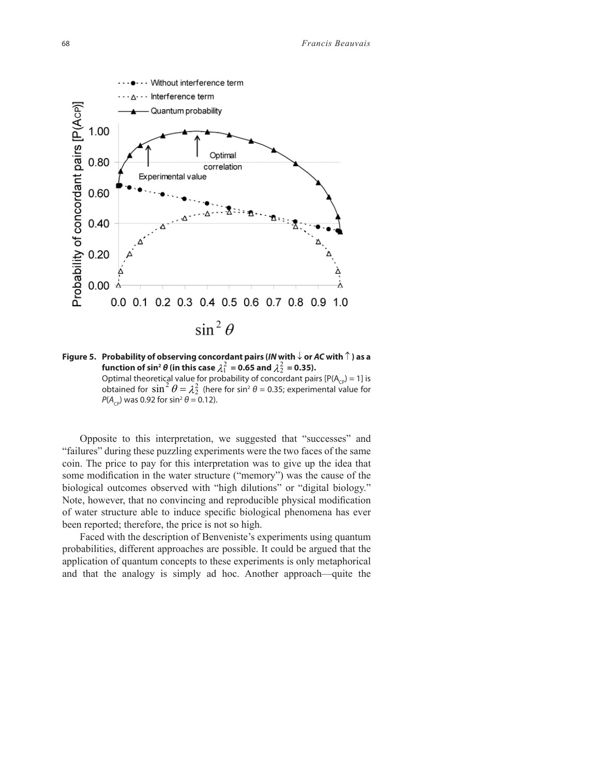

**Figure 5. Probability of observing concordant pairs (***IN* **with**  $\downarrow$  **or AC with**  $\uparrow$  **) as a** function of sin<sup>2</sup>  $\theta$  (in this case  $\lambda_1^2$  = 0.65 and  $\lambda_2^2$  = 0.35). Optimal theoretical value for probability of concordant pairs  $[P(A<sub>CP</sub>) = 1]$  is obtained for  $\sin^2 \theta = \lambda_2^2$  (here for sin<sup>2</sup>  $\theta$  = 0.35; experimental value for  $P(A_{\text{co}})$  was 0.92 for sin<sup>2</sup>  $\theta$  = 0.12).

Opposite to this interpretation, we suggested that "successes" and "failures" during these puzzling experiments were the two faces of the same coin. The price to pay for this interpretation was to give up the idea that some modification in the water structure ("memory") was the cause of the biological outcomes observed with "high dilutions" or "digital biology." Note, however, that no convincing and reproducible physical modification of water structure able to induce specific biological phenomena has ever been reported; therefore, the price is not so high.

Faced with the description of Benveniste's experiments using quantum probabilities, different approaches are possible. It could be argued that the application of quantum concepts to these experiments is only metaphorical and that the analogy is simply ad hoc. Another approach—quite the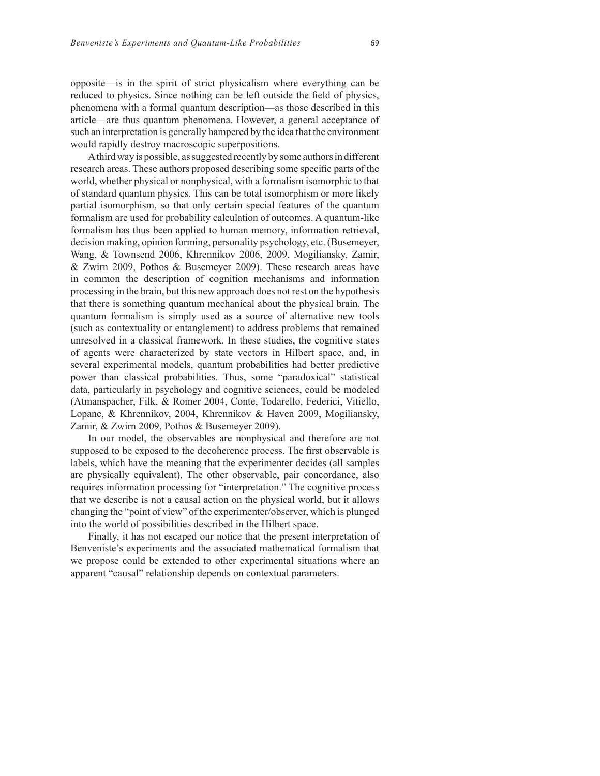opposite—is in the spirit of strict physicalism where everything can be reduced to physics. Since nothing can be left outside the field of physics, phenomena with a formal quantum description—as those described in this article—are thus quantum phenomena. However, a general acceptance of such an interpretation is generally hampered by the idea that the environment would rapidly destroy macroscopic superpositions.

A third way is possible, as suggested recently by some authors in different research areas. These authors proposed describing some specific parts of the world, whether physical or nonphysical, with a formalism isomorphic to that of standard quantum physics. This can be total isomorphism or more likely partial isomorphism, so that only certain special features of the quantum formalism are used for probability calculation of outcomes. A quantum-like formalism has thus been applied to human memory, information retrieval, decision making, opinion forming, personality psychology, etc. (Busemeyer, Wang, & Townsend 2006, Khrennikov 2006, 2009, Mogiliansky, Zamir, & Zwirn 2009, Pothos & Busemeyer 2009). These research areas have in common the description of cognition mechanisms and information processing in the brain, but this new approach does not rest on the hypothesis that there is something quantum mechanical about the physical brain. The quantum formalism is simply used as a source of alternative new tools (such as contextuality or entanglement) to address problems that remained unresolved in a classical framework. In these studies, the cognitive states of agents were characterized by state vectors in Hilbert space, and, in several experimental models, quantum probabilities had better predictive power than classical probabilities. Thus, some "paradoxical" statistical data, particularly in psychology and cognitive sciences, could be modeled (Atmanspacher, Filk, & Romer 2004, Conte, Todarello, Federici, Vitiello, Lopane, & Khrennikov, 2004, Khrennikov & Haven 2009, Mogiliansky, Zamir, & Zwirn 2009, Pothos & Busemeyer 2009).

In our model, the observables are nonphysical and therefore are not supposed to be exposed to the decoherence process. The first observable is labels, which have the meaning that the experimenter decides (all samples are physically equivalent). The other observable, pair concordance, also requires information processing for "interpretation." The cognitive process that we describe is not a causal action on the physical world, but it allows changing the "point of view" of the experimenter/observer, which is plunged into the world of possibilities described in the Hilbert space.

Finally, it has not escaped our notice that the present interpretation of Benveniste's experiments and the associated mathematical formalism that we propose could be extended to other experimental situations where an apparent "causal" relationship depends on contextual parameters.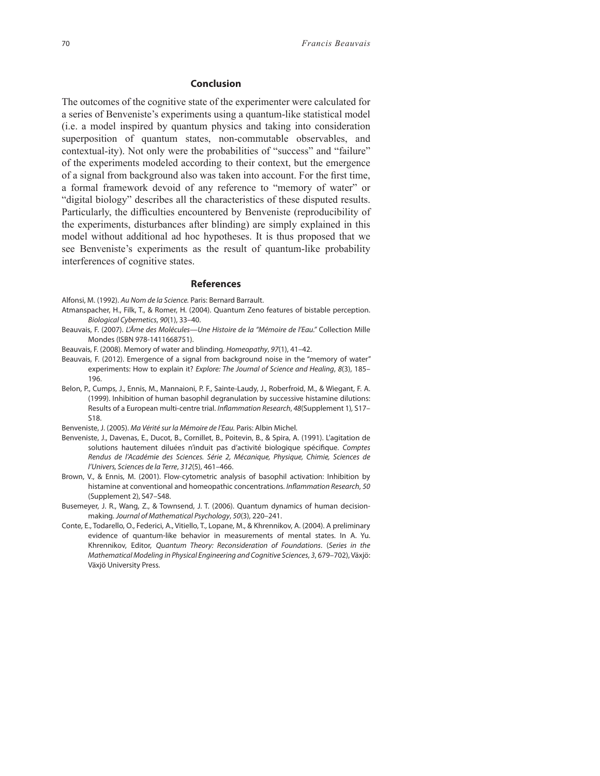#### **Conclusion**

The outcomes of the cognitive state of the experimenter were calculated for a series of Benveniste's experiments using a quantum-like statistical model (i.e. a model inspired by quantum physics and taking into consideration superposition of quantum states, non-commutable observables, and contextual-ity). Not only were the probabilities of "success" and "failure" of the experiments modeled according to their context, but the emergence of a signal from background also was taken into account. For the first time, a formal framework devoid of any reference to "memory of water" or "digital biology" describes all the characteristics of these disputed results. Particularly, the difficulties encountered by Benveniste (reproducibility of the experiments, disturbances after blinding) are simply explained in this model without additional ad hoc hypotheses. It is thus proposed that we see Benveniste's experiments as the result of quantum-like probability interferences of cognitive states.

#### **References**

- Alfonsi, M. (1992). Au Nom de la Science. Paris: Bernard Barrault.
- Atmanspacher, H., Filk, T., & Romer, H. (2004). Quantum Zeno features of bistable perception. Biological Cybernetics, 90(1), 33–40.
- Beauvais, F. (2007). L'Âme des Molécules—Une Histoire de la "Mémoire de l'Eau." Collection Mille Mondes (ISBN 978-1411668751).
- Beauvais, F. (2008). Memory of water and blinding. Homeopathy, 97(1), 41–42.
- Beauvais, F. (2012). Emergence of a signal from background noise in the "memory of water" experiments: How to explain it? Explore: The Journal of Science and Healing, 8(3), 185– 196.
- Belon, P., Cumps, J., Ennis, M., Mannaioni, P. F., Sainte-Laudy, J., Roberfroid, M., & Wiegant, F. A. (1999). Inhibition of human basophil degranulation by successive histamine dilutions: Results of a European multi-centre trial. Inflammation Research, 48(Supplement 1), S17-S18.

Benveniste, J. (2005). Ma Vérité sur la Mémoire de l'Eau. Paris: Albin Michel.

- Benveniste, J., Davenas, E., Ducot, B., Cornillet, B., Poitevin, B., & Spira, A. (1991). L'agitation de solutions hautement diluées n'induit pas d'activité biologique spécifique. Comptes Rendus de l'Académie des Sciences. Série 2, Mécanique, Physique, Chimie, Sciences de l'Univers, Sciences de la Terre, 312(5), 461–466.
- Brown, V., & Ennis, M. (2001). Flow-cytometric analysis of basophil activation: Inhibition by histamine at conventional and homeopathic concentrations. Inflammation Research, 50 (Supplement 2), S47–S48.
- Busemeyer, J. R., Wang, Z., & Townsend, J. T. (2006). Quantum dynamics of human decisionmaking. Journal of Mathematical Psychology, 50(3), 220–241.
- Conte, E., Todarello, O., Federici, A., Vitiello, T., Lopane, M., & Khrennikov, A. (2004). A preliminary evidence of quantum-like behavior in measurements of mental states. In A. Yu. Khrennikov, Editor, Quantum Theory: Reconsideration of Foundations. (Series in the Mathematical Modeling in Physical Engineering and Cognitive Sciences, 3, 679–702), Växjö: Växjö University Press.